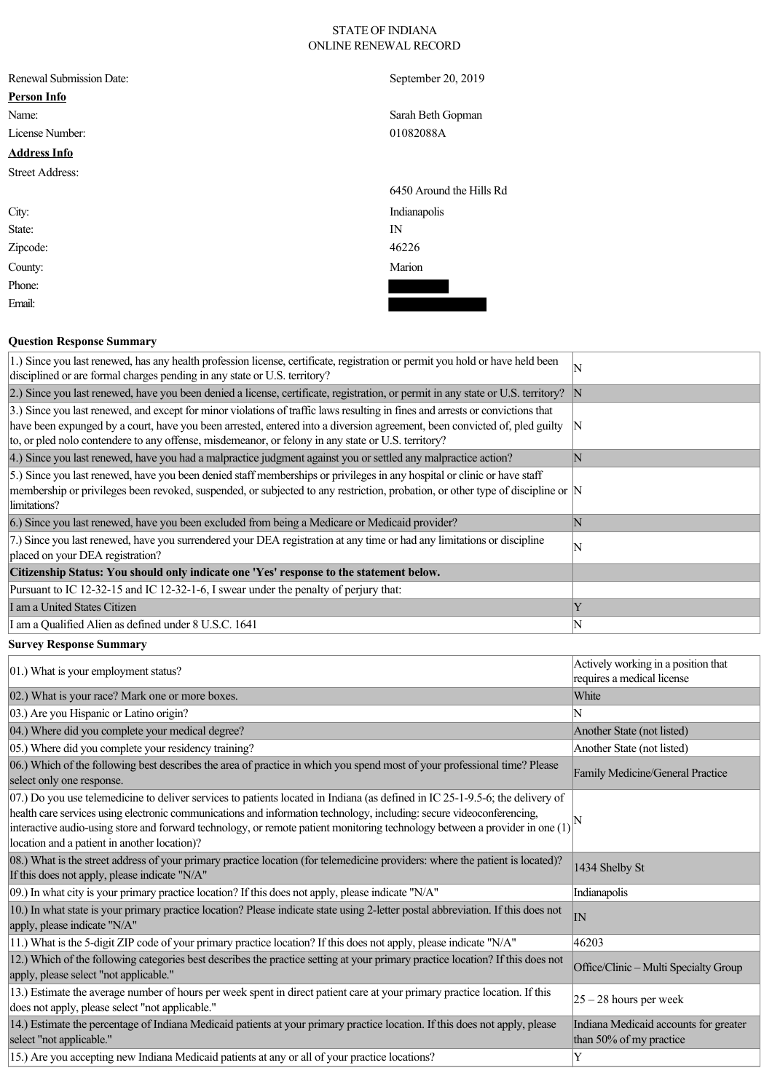## STATE OF INDIANA ONLINE RENEWAL RECORD

|  | Renewal Submission Date: |  |
|--|--------------------------|--|
|--|--------------------------|--|

# **Person Info**

# **Address Info**

Street Address:

City: Indianapolis State: IN Zipcode: 46226 County: Marion Phone:

Email:

#### **Question Response Summary**

September 20, 2019

Name: Sarah Beth Gopman License Number: 01082088A

6450 Around the Hills Rd

| 1.) Since you last renewed, has any health profession license, certificate, registration or permit you hold or have held been<br>disciplined or are formal charges pending in any state or U.S. territory?                                                                                                                                                        | ΙN          |
|-------------------------------------------------------------------------------------------------------------------------------------------------------------------------------------------------------------------------------------------------------------------------------------------------------------------------------------------------------------------|-------------|
| 2.) Since you last renewed, have you been denied a license, certificate, registration, or permit in any state or U.S. territory?  N                                                                                                                                                                                                                               |             |
| 3.) Since you last renewed, and except for minor violations of traffic laws resulting in fines and arrests or convictions that<br>have been expunged by a court, have you been arrested, entered into a diversion agreement, been convicted of, pled guilty<br>to, or pled nolo contendere to any offense, misdemeanor, or felony in any state or U.S. territory? | -IN         |
| 4.) Since you last renewed, have you had a malpractice judgment against you or settled any malpractice action?                                                                                                                                                                                                                                                    | $\mathbf N$ |
| [5.] Since you last renewed, have you been denied staff memberships or privileges in any hospital or clinic or have staff<br>membership or privileges been revoked, suspended, or subjected to any restriction, probation, or other type of discipline or  N<br>limitations?                                                                                      |             |
| 6.) Since you last renewed, have you been excluded from being a Medicare or Medicaid provider?                                                                                                                                                                                                                                                                    | IN          |
| 7.) Since you last renewed, have you surrendered your DEA registration at any time or had any limitations or discipline<br>placed on your DEA registration?                                                                                                                                                                                                       | ΙN          |
| Citizenship Status: You should only indicate one 'Yes' response to the statement below.                                                                                                                                                                                                                                                                           |             |
| Pursuant to IC 12-32-15 and IC 12-32-1-6, I swear under the penalty of perjury that:                                                                                                                                                                                                                                                                              |             |
| I am a United States Citizen                                                                                                                                                                                                                                                                                                                                      | Y           |
| I am a Qualified Alien as defined under 8 U.S.C. 1641<br>$\sim$ $\sim$ $\sim$ $\sim$                                                                                                                                                                                                                                                                              | N           |

## **Survey Response Summary**

| 01.) What is your employment status?                                                                                                                                                                                                                                                                                                                                                                                                                      | Actively working in a position that<br>requires a medical license |
|-----------------------------------------------------------------------------------------------------------------------------------------------------------------------------------------------------------------------------------------------------------------------------------------------------------------------------------------------------------------------------------------------------------------------------------------------------------|-------------------------------------------------------------------|
| 02.) What is your race? Mark one or more boxes.                                                                                                                                                                                                                                                                                                                                                                                                           | White                                                             |
| 03.) Are you Hispanic or Latino origin?                                                                                                                                                                                                                                                                                                                                                                                                                   |                                                                   |
| 04.) Where did you complete your medical degree?                                                                                                                                                                                                                                                                                                                                                                                                          | Another State (not listed)                                        |
| 05.) Where did you complete your residency training?                                                                                                                                                                                                                                                                                                                                                                                                      | Another State (not listed)                                        |
| 06.) Which of the following best describes the area of practice in which you spend most of your professional time? Please<br>select only one response.                                                                                                                                                                                                                                                                                                    | Family Medicine/General Practice                                  |
| $(07)$ Do you use telemedicine to deliver services to patients located in Indiana (as defined in IC 25-1-9.5-6; the delivery of<br>health care services using electronic communications and information technology, including: secure videoconferencing,<br>interactive audio-using store and forward technology, or remote patient monitoring technology between a provider in one $(1)$ <sup>[N</sup> ]<br>location and a patient in another location)? |                                                                   |
| 08.) What is the street address of your primary practice location (for telemedicine providers: where the patient is located)?<br>If this does not apply, please indicate "N/A"                                                                                                                                                                                                                                                                            | 1434 Shelby St                                                    |
| 09.) In what city is your primary practice location? If this does not apply, please indicate "N/A"                                                                                                                                                                                                                                                                                                                                                        | Indianapolis                                                      |
| 10.) In what state is your primary practice location? Please indicate state using 2-letter postal abbreviation. If this does not<br>apply, please indicate "N/A"                                                                                                                                                                                                                                                                                          | IN                                                                |
| 11.) What is the 5-digit ZIP code of your primary practice location? If this does not apply, please indicate "N/A"                                                                                                                                                                                                                                                                                                                                        | 46203                                                             |
| 12.) Which of the following categories best describes the practice setting at your primary practice location? If this does not<br>apply, please select "not applicable."                                                                                                                                                                                                                                                                                  | Office/Clinic - Multi Specialty Group                             |
| 13.) Estimate the average number of hours per week spent in direct patient care at your primary practice location. If this<br>does not apply, please select "not applicable."                                                                                                                                                                                                                                                                             | $ 25 - 28$ hours per week                                         |
| 14.) Estimate the percentage of Indiana Medicaid patients at your primary practice location. If this does not apply, please<br>select "not applicable."                                                                                                                                                                                                                                                                                                   | Indiana Medicaid accounts for greater<br>than 50% of my practice  |
| 15.) Are you accepting new Indiana Medicaid patients at any or all of your practice locations?                                                                                                                                                                                                                                                                                                                                                            | Y                                                                 |